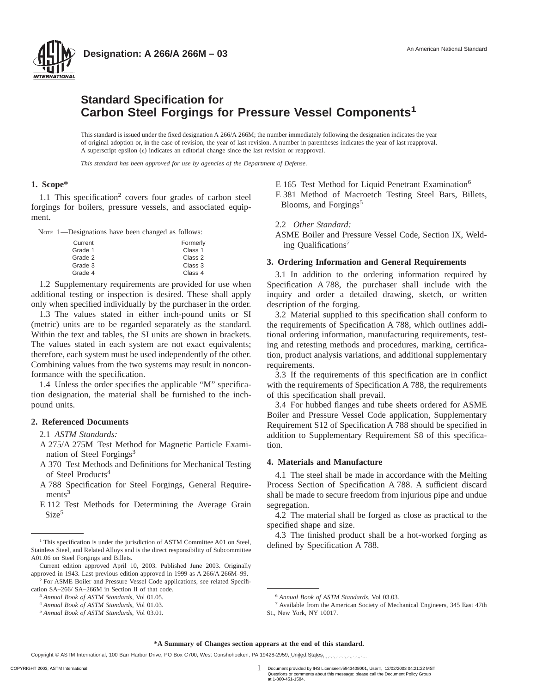

# **Standard Specification for Carbon Steel Forgings for Pressure Vessel Components<sup>1</sup>**

This standard is issued under the fixed designation A 266/A 266M; the number immediately following the designation indicates the year of original adoption or, in the case of revision, the year of last revision. A number in parentheses indicates the year of last reapproval. A superscript epsilon  $(\epsilon)$  indicates an editorial change since the last revision or reapproval.

*This standard has been approved for use by agencies of the Department of Defense.*

### **1. Scope\***

**NTERNATIONAL** 

1.1 This specification<sup>2</sup> covers four grades of carbon steel forgings for boilers, pressure vessels, and associated equipment.

NOTE 1—Designations have been changed as follows:

| Current | Formerly |
|---------|----------|
| Grade 1 | Class 1  |
| Grade 2 | Class 2  |
| Grade 3 | Class 3  |
| Grade 4 | Class 4  |

1.2 Supplementary requirements are provided for use when additional testing or inspection is desired. These shall apply only when specified individually by the purchaser in the order.

1.3 The values stated in either inch-pound units or SI (metric) units are to be regarded separately as the standard. Within the text and tables, the SI units are shown in brackets. The values stated in each system are not exact equivalents; therefore, each system must be used independently of the other. Combining values from the two systems may result in nonconformance with the specification.

1.4 Unless the order specifies the applicable "M" specification designation, the material shall be furnished to the inchpound units.

# **2. Referenced Documents**

2.1 *ASTM Standards:*

- A 275/A 275M Test Method for Magnetic Particle Examination of Steel Forgings<sup>3</sup>
- A 370 Test Methods and Definitions for Mechanical Testing of Steel Products<sup>4</sup>
- A 788 Specification for Steel Forgings, General Require $ments<sup>3</sup>$
- E 112 Test Methods for Determining the Average Grain Size<sup>5</sup>

E 165 Test Method for Liquid Penetrant Examination<sup>6</sup> E 381 Method of Macroetch Testing Steel Bars, Billets, Blooms, and Forgings<sup>5</sup>

#### 2.2 *Other Standard:*

ASME Boiler and Pressure Vessel Code, Section IX, Welding Qualifications7

# **3. Ordering Information and General Requirements**

3.1 In addition to the ordering information required by Specification A 788, the purchaser shall include with the inquiry and order a detailed drawing, sketch, or written description of the forging.

3.2 Material supplied to this specification shall conform to the requirements of Specification A 788, which outlines additional ordering information, manufacturing requirements, testing and retesting methods and procedures, marking, certification, product analysis variations, and additional supplementary requirements.

3.3 If the requirements of this specification are in conflict with the requirements of Specification A 788, the requirements of this specification shall prevail.

3.4 For hubbed flanges and tube sheets ordered for ASME Boiler and Pressure Vessel Code application, Supplementary Requirement S12 of Specification A 788 should be specified in addition to Supplementary Requirement S8 of this specification.

# **4. Materials and Manufacture**

4.1 The steel shall be made in accordance with the Melting Process Section of Specification A 788. A sufficient discard shall be made to secure freedom from injurious pipe and undue segregation.

4.2 The material shall be forged as close as practical to the specified shape and size.

4.3 The finished product shall be a hot-worked forging as

1 COPYRIGHT 2003; ASTM International Document provided by IHS Licensee=/5943408001, User=, 12/02/2003 04:21:22 MST Questions or comments about this message: please call the Document Policy Group at 1-800-451-1584.

<sup>&</sup>lt;sup>1</sup>This specification is under the jurisdiction of ASTM Committee A01 on Steel, defined by Specification A 788. Stainless Steel, and Related Alloys and is the direct responsibility of Subcommittee A01.06 on Steel Forgings and Billets.

Current edition approved April 10, 2003. Published June 2003. Originally approved in 1943. Last previous edition approved in 1999 as A 266/A 266M–99. <sup>2</sup> For ASME Boiler and Pressure Vessel Code applications, see related Specifi-

cation SA–266/ SA–266M in Section II of that code.

<sup>3</sup> *Annual Book of ASTM Standards*, Vol 01.05.

<sup>4</sup> *Annual Book of ASTM Standards*, Vol 01.03.

<sup>5</sup> *Annual Book of ASTM Standards*, Vol 03.01.

<sup>6</sup> *Annual Book of ASTM Standards*, Vol 03.03.

<sup>7</sup> Available from the American Society of Mechanical Engineers, 345 East 47th St., New York, NY 10017.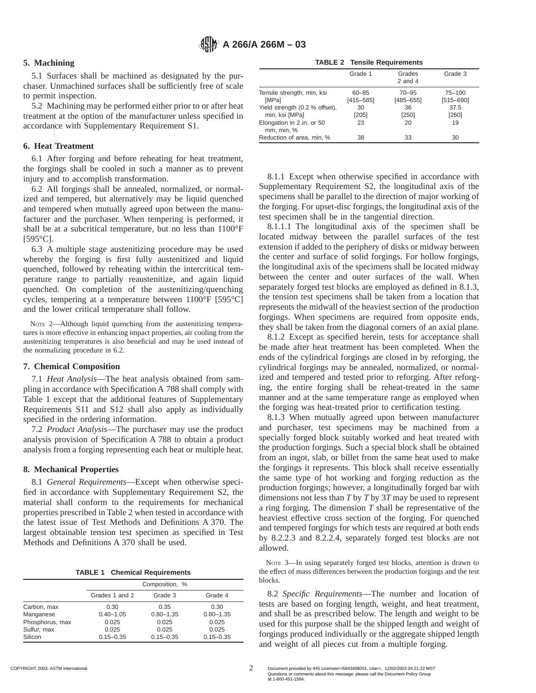# **5. Machining**

5.1 Surfaces shall be machined as designated by the purchaser. Unmachined surfaces shall be sufficiently free of scale to permit inspection.

5.2 Machining may be performed either prior to or after heat treatment at the option of the manufacturer unless specified in accordance with Supplementary Requirement S1.

### **6. Heat Treatment**

6.1 After forging and before reheating for heat treatment, the forgings shall be cooled in such a manner as to prevent injury and to accomplish transformation. --`,`,,,,````,``,,``,,,,,`,`,,`-`-`,,`,,`,`,,`---

6.2 All forgings shall be annealed, normalized, or normalized and tempered, but alternatively may be liquid quenched and tempered when mutually agreed upon between the manufacturer and the purchaser. When tempering is performed, it shall be at a subcritical temperature, but no less than 1100°F  $[595^{\circ}\text{C}].$ 

6.3 A multiple stage austenitizing procedure may be used whereby the forging is first fully austenitized and liquid quenched, followed by reheating within the intercritical temperature range to partially reaustenitize, and again liquid quenched. On completion of the austenitizing/quenching cycles, tempering at a temperature between 1100°F [595°C] and the lower critical temperature shall follow.

NOTE 2—Although liquid quenching from the austenitizing temperatures is more effective in enhancing impact properties, air cooling from the austenitizing temperatures is also beneficial and may be used instead of the normalizing procedure in 6.2.

### **7. Chemical Composition**

7.1 *Heat Analysis*—The heat analysis obtained from sampling in accordance with Specification A 788 shall comply with Table 1 except that the additional features of Supplementary Requirements S11 and S12 shall also apply as individually specified in the ordering information.

7.2 *Product Analysis*—The purchaser may use the product analysis provision of Specification A 788 to obtain a product analysis from a forging representing each heat or multiple heat.

#### **8. Mechanical Properties**

8.1 *General Requirements*—Except when otherwise specified in accordance with Supplementary Requirement S2, the material shall conform to the requirements for mechanical properties prescribed in Table 2 when tested in accordance with the latest issue of Test Methods and Definitions A 370. The largest obtainable tension test specimen as specified in Test Methods and Definitions A 370 shall be used.

**TABLE 1 Chemical Requirements**

|                 |                | Composition, % |               |  |
|-----------------|----------------|----------------|---------------|--|
|                 | Grades 1 and 2 | Grade 3        | Grade 4       |  |
| Carbon, max     | 0.30           | 0.35           | 0.30          |  |
| Manganese       | $0.40 - 1.05$  | $0.80 - 1.35$  | $0.80 - 1.35$ |  |
| Phosphorus, max | 0.025          | 0.025          | 0.025         |  |
| Sulfur, max     | 0.025          | 0.025          | 0.025         |  |
| Silicon         | $0.15 - 0.35$  | $0.15 - 0.35$  | $0.15 - 0.35$ |  |

**TABLE 2 Tensile Requirements**

|                                                  | Grade 1                    | Grades<br>$2$ and $4$      | Grade 3                     |
|--------------------------------------------------|----------------------------|----------------------------|-----------------------------|
| Tensile strength, min, ksi<br><b>IMPal</b>       | $60 - 85$<br>$[415 - 585]$ | $70 - 95$<br>$[485 - 655]$ | $75 - 100$<br>$[515 - 690]$ |
| Yield strength (0.2 % offset),<br>min, ksi [MPa] | 30<br>[205]                | 36<br>[250]                | 37.5<br>[260]               |
| Elongation in 2 in. or 50<br>mm, min, %          | 23                         | 20                         | 19                          |
| Reduction of area, min, %                        | 38                         | 33                         | 30                          |

8.1.1 Except when otherwise specified in accordance with Supplementary Requirement S2, the longitudinal axis of the specimens shall be parallel to the direction of major working of the forging. For upset-disc forgings, the longitudinal axis of the test specimen shall be in the tangential direction.

8.1.1.1 The longitudinal axis of the specimen shall be located midway between the parallel surfaces of the test extension if added to the periphery of disks or midway between the center and surface of solid forgings. For hollow forgings, the longitudinal axis of the specimens shall be located midway between the center and outer surfaces of the wall. When separately forged test blocks are employed as defined in 8.1.3, the tension test specimens shall be taken from a location that represents the midwall of the heaviest section of the production forgings. When specimens are required from opposite ends, they shall be taken from the diagonal corners of an axial plane.

8.1.2 Except as specified herein, tests for acceptance shall be made after heat treatment has been completed. When the ends of the cylindrical forgings are closed in by reforging, the cylindrical forgings may be annealed, normalized, or normalized and tempered and tested prior to reforging. After reforging, the entire forging shall be reheat-treated in the same manner and at the same temperature range as employed when the forging was heat-treated prior to certification testing.

8.1.3 When mutually agreed upon between manufacturer and purchaser, test specimens may be machined from a specially forged block suitably worked and heat treated with the production forgings. Such a special block shall be obtained from an ingot, slab, or billet from the same heat used to make the forgings it represents. This block shall receive essentially the same type of hot working and forging reduction as the production forgings; however, a longitudinally forged bar with dimensions not less than *T* by *T* by 3*T* may be used to represent a ring forging. The dimension *T* shall be representative of the heaviest effective cross section of the forging. For quenched and tempered forgings for which tests are required at both ends by 8.2.2.3 and 8.2.2.4, separately forged test blocks are not allowed.

NOTE 3—In using separately forged test blocks, attention is drawn to the effect of mass differences between the production forgings and the test blocks.

8.2 *Specific Requirements*—The number and location of tests are based on forging length, weight, and heat treatment, and shall be as prescribed below. The length and weight to be used for this purpose shall be the shipped length and weight of forgings produced individually or the aggregate shipped length and weight of all pieces cut from a multiple forging.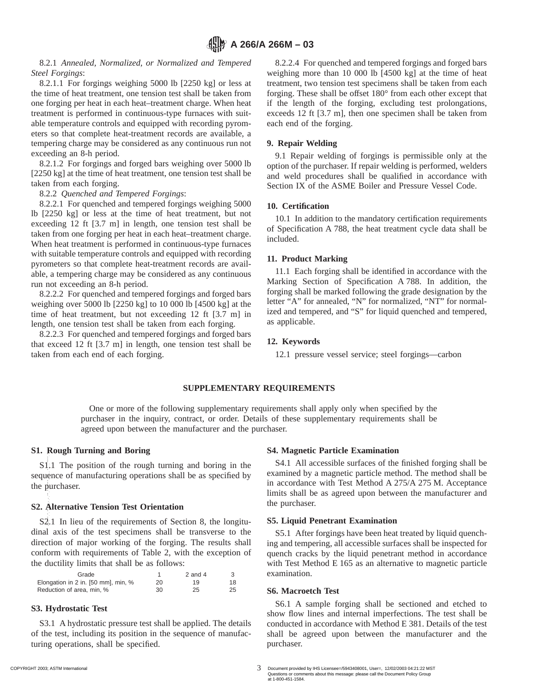8.2.1 *Annealed, Normalized, or Normalized and Tempered Steel Forgings*:

8.2.1.1 For forgings weighing 5000 lb [2250 kg] or less at the time of heat treatment, one tension test shall be taken from one forging per heat in each heat–treatment charge. When heat treatment is performed in continuous-type furnaces with suitable temperature controls and equipped with recording pyrometers so that complete heat-treatment records are available, a tempering charge may be considered as any continuous run not exceeding an 8-h period.

8.2.1.2 For forgings and forged bars weighing over 5000 lb [2250 kg] at the time of heat treatment, one tension test shall be taken from each forging.

8.2.2 *Quenched and Tempered Forgings*:

8.2.2.1 For quenched and tempered forgings weighing 5000 lb [2250 kg] or less at the time of heat treatment, but not exceeding 12 ft [3.7 m] in length, one tension test shall be taken from one forging per heat in each heat–treatment charge. When heat treatment is performed in continuous-type furnaces with suitable temperature controls and equipped with recording pyrometers so that complete heat-treatment records are available, a tempering charge may be considered as any continuous run not exceeding an 8-h period.

8.2.2.2 For quenched and tempered forgings and forged bars weighing over 5000 lb [2250 kg] to 10 000 lb [4500 kg] at the time of heat treatment, but not exceeding 12 ft [3.7 m] in length, one tension test shall be taken from each forging.

8.2.2.3 For quenched and tempered forgings and forged bars that exceed 12 ft [3.7 m] in length, one tension test shall be taken from each end of each forging.

8.2.2.4 For quenched and tempered forgings and forged bars weighing more than 10 000 lb [4500 kg] at the time of heat treatment, two tension test specimens shall be taken from each forging. These shall be offset 180° from each other except that if the length of the forging, excluding test prolongations, exceeds 12 ft [3.7 m], then one specimen shall be taken from each end of the forging.

# **9. Repair Welding**

9.1 Repair welding of forgings is permissible only at the option of the purchaser. If repair welding is performed, welders and weld procedures shall be qualified in accordance with Section IX of the ASME Boiler and Pressure Vessel Code.

## **10. Certification**

10.1 In addition to the mandatory certification requirements of Specification A 788, the heat treatment cycle data shall be included.

## **11. Product Marking**

11.1 Each forging shall be identified in accordance with the Marking Section of Specification A 788. In addition, the forging shall be marked following the grade designation by the letter "A" for annealed, "N" for normalized, "NT" for normalized and tempered, and "S" for liquid quenched and tempered, as applicable.

# **12. Keywords**

12.1 pressure vessel service; steel forgings—carbon

### **SUPPLEMENTARY REQUIREMENTS**

One or more of the following supplementary requirements shall apply only when specified by the purchaser in the inquiry, contract, or order. Details of these supplementary requirements shall be agreed upon between the manufacturer and the purchaser.

### **S1. Rough Turning and Boring**

S1.1 The position of the rough turning and boring in the sequence of manufacturing operations shall be as specified by the purchaser. --`,`,,,,````,``,,``,,,,,`,`,,`-`-`,,`,,`,`,,`---

### **S2. Alternative Tension Test Orientation**

S2.1 In lieu of the requirements of Section 8, the longitudinal axis of the test specimens shall be transverse to the direction of major working of the forging. The results shall conform with requirements of Table 2, with the exception of the ductility limits that shall be as follows:

| Grade                               |    | 2 and 4 |    |
|-------------------------------------|----|---------|----|
| Elongation in 2 in. [50 mm], min, % | 20 | 19      | 18 |
| Reduction of area, min, %           | 30 | 25      | 25 |

# **S3. Hydrostatic Test**

S3.1 A hydrostatic pressure test shall be applied. The details of the test, including its position in the sequence of manufacturing operations, shall be specified.

### **S4. Magnetic Particle Examination**

S4.1 All accessible surfaces of the finished forging shall be examined by a magnetic particle method. The method shall be in accordance with Test Method A 275/A 275 M. Acceptance limits shall be as agreed upon between the manufacturer and the purchaser.

### **S5. Liquid Penetrant Examination**

S5.1 After forgings have been heat treated by liquid quenching and tempering, all accessible surfaces shall be inspected for quench cracks by the liquid penetrant method in accordance with Test Method E 165 as an alternative to magnetic particle examination.

### **S6. Macroetch Test**

S6.1 A sample forging shall be sectioned and etched to show flow lines and internal imperfections. The test shall be conducted in accordance with Method E 381. Details of the test shall be agreed upon between the manufacturer and the purchaser.